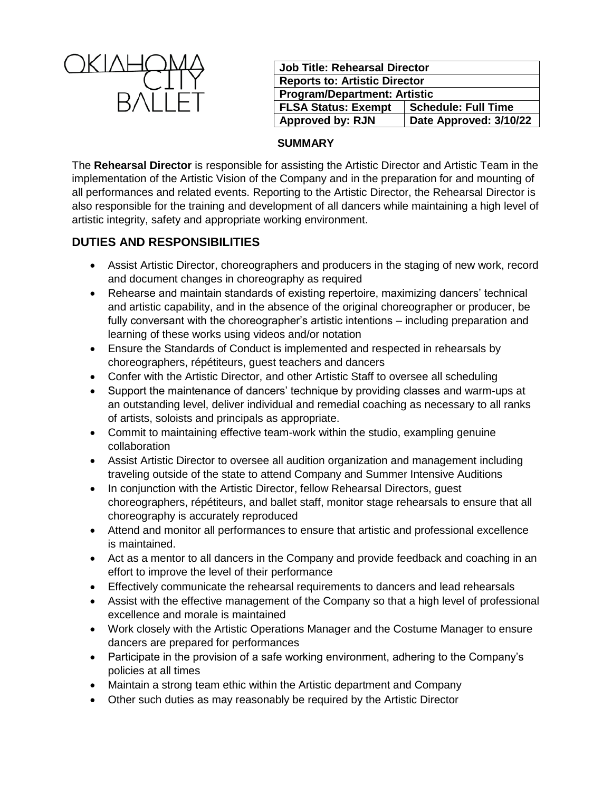

| <b>Job Title: Rehearsal Director</b> |                            |
|--------------------------------------|----------------------------|
| <b>Reports to: Artistic Director</b> |                            |
| <b>Program/Department: Artistic</b>  |                            |
| <b>FLSA Status: Exempt</b>           | <b>Schedule: Full Time</b> |
| <b>Approved by: RJN</b>              | Date Approved: 3/10/22     |

#### **SUMMARY**

The **Rehearsal Director** is responsible for assisting the Artistic Director and Artistic Team in the implementation of the Artistic Vision of the Company and in the preparation for and mounting of all performances and related events. Reporting to the Artistic Director, the Rehearsal Director is also responsible for the training and development of all dancers while maintaining a high level of artistic integrity, safety and appropriate working environment.

# **DUTIES AND RESPONSIBILITIES**

- Assist Artistic Director, choreographers and producers in the staging of new work, record and document changes in choreography as required
- Rehearse and maintain standards of existing repertoire, maximizing dancers' technical and artistic capability, and in the absence of the original choreographer or producer, be fully conversant with the choreographer's artistic intentions – including preparation and learning of these works using videos and/or notation
- Ensure the Standards of Conduct is implemented and respected in rehearsals by choreographers, répétiteurs, guest teachers and dancers
- Confer with the Artistic Director, and other Artistic Staff to oversee all scheduling
- Support the maintenance of dancers' technique by providing classes and warm-ups at an outstanding level, deliver individual and remedial coaching as necessary to all ranks of artists, soloists and principals as appropriate.
- Commit to maintaining effective team-work within the studio, exampling genuine collaboration
- Assist Artistic Director to oversee all audition organization and management including traveling outside of the state to attend Company and Summer Intensive Auditions
- In conjunction with the Artistic Director, fellow Rehearsal Directors, guest choreographers, répétiteurs, and ballet staff, monitor stage rehearsals to ensure that all choreography is accurately reproduced
- Attend and monitor all performances to ensure that artistic and professional excellence is maintained.
- Act as a mentor to all dancers in the Company and provide feedback and coaching in an effort to improve the level of their performance
- Effectively communicate the rehearsal requirements to dancers and lead rehearsals
- Assist with the effective management of the Company so that a high level of professional excellence and morale is maintained
- Work closely with the Artistic Operations Manager and the Costume Manager to ensure dancers are prepared for performances
- Participate in the provision of a safe working environment, adhering to the Company's policies at all times
- Maintain a strong team ethic within the Artistic department and Company
- Other such duties as may reasonably be required by the Artistic Director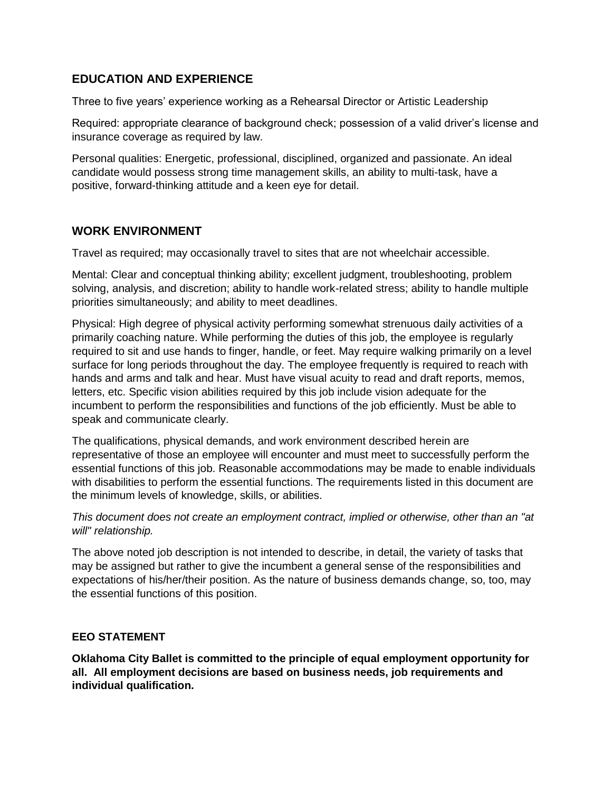# **EDUCATION AND EXPERIENCE**

Three to five years' experience working as a Rehearsal Director or Artistic Leadership

Required: appropriate clearance of background check; possession of a valid driver's license and insurance coverage as required by law.

Personal qualities: Energetic, professional, disciplined, organized and passionate. An ideal candidate would possess strong time management skills, an ability to multi-task, have a positive, forward-thinking attitude and a keen eye for detail.

# **WORK ENVIRONMENT**

Travel as required; may occasionally travel to sites that are not wheelchair accessible.

Mental: Clear and conceptual thinking ability; excellent judgment, troubleshooting, problem solving, analysis, and discretion; ability to handle work-related stress; ability to handle multiple priorities simultaneously; and ability to meet deadlines.

Physical: High degree of physical activity performing somewhat strenuous daily activities of a primarily coaching nature. While performing the duties of this job, the employee is regularly required to sit and use hands to finger, handle, or feet. May require walking primarily on a level surface for long periods throughout the day. The employee frequently is required to reach with hands and arms and talk and hear. Must have visual acuity to read and draft reports, memos, letters, etc. Specific vision abilities required by this job include vision adequate for the incumbent to perform the responsibilities and functions of the job efficiently. Must be able to speak and communicate clearly.

The qualifications, physical demands, and work environment described herein are representative of those an employee will encounter and must meet to successfully perform the essential functions of this job. Reasonable accommodations may be made to enable individuals with disabilities to perform the essential functions. The requirements listed in this document are the minimum levels of knowledge, skills, or abilities.

*This document does not create an employment contract, implied or otherwise, other than an "at will" relationship.*

The above noted job description is not intended to describe, in detail, the variety of tasks that may be assigned but rather to give the incumbent a general sense of the responsibilities and expectations of his/her/their position. As the nature of business demands change, so, too, may the essential functions of this position.

### **EEO STATEMENT**

**Oklahoma City Ballet is committed to the principle of equal employment opportunity for all. All employment decisions are based on business needs, job requirements and individual qualification.**